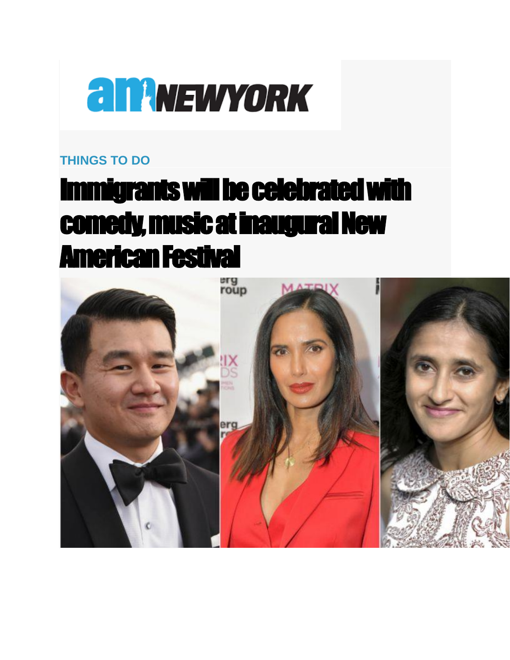

## **[THINGS TO DO](https://www.amny.com/things-to-do)**

## Immigrants will be celebrated with comedy, music at inaugural New American Festival